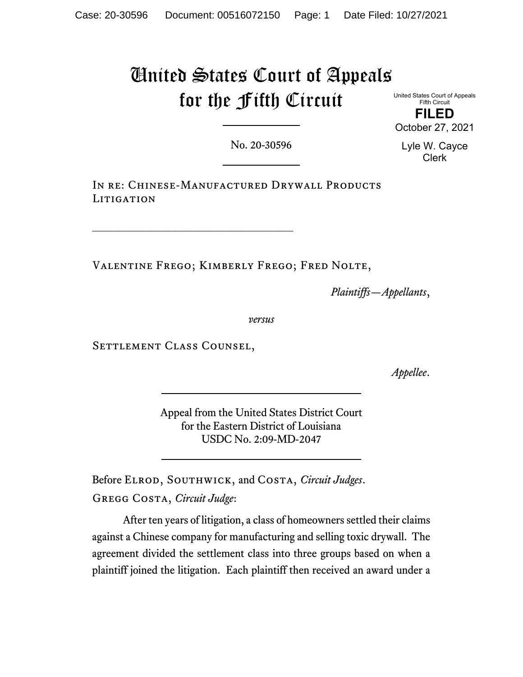# United States Court of Appeals for the Fifth Circuit

United States Court of Appeals Fifth Circuit

**FILED** October 27, 2021

No. 20-30596

Lyle W. Cayce Clerk

IN RE: CHINESE-MANUFACTURED DRYWALL PRODUCTS LITIGATION

Valentine Frego; Kimberly Frego; Fred Nolte,

*Plaintiffs—Appellants*,

*versus*

Settlement Class Counsel,

 $\mathcal{L}_\text{max}$ 

*Appellee*.

Appeal from the United States District Court for the Eastern District of Louisiana USDC No. 2:09-MD-2047

Before Elrod, Southwick, and Costa, *Circuit Judges*. Gregg Costa, *Circuit Judge*:

After ten years of litigation, a class of homeowners settled their claims against a Chinese company for manufacturing and selling toxic drywall. The agreement divided the settlement class into three groups based on when a plaintiff joined the litigation.Each plaintiff then received an award under a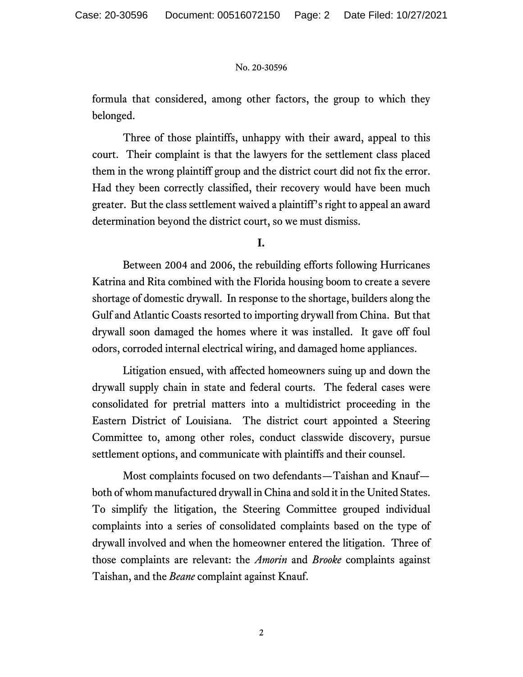formula that considered, among other factors, the group to which they belonged.

Three of those plaintiffs, unhappy with their award, appeal to this court. Their complaint is that the lawyers for the settlement class placed them in the wrong plaintiff group and the district court did not fix the error. Had they been correctly classified, their recovery would have been much greater. But the class settlement waived a plaintiff's right to appeal an award determination beyond the district court, so we must dismiss.

# **I.**

Between 2004 and 2006, the rebuilding efforts following Hurricanes Katrina and Rita combined with the Florida housing boom to create a severe shortage of domestic drywall. In response to the shortage, builders along the Gulf and Atlantic Coasts resorted to importing drywall from China. But that drywall soon damaged the homes where it was installed. It gave off foul odors, corroded internal electrical wiring, and damaged home appliances.

Litigation ensued, with affected homeowners suing up and down the drywall supply chain in state and federal courts. The federal cases were consolidated for pretrial matters into a multidistrict proceeding in the Eastern District of Louisiana. The district court appointed a Steering Committee to, among other roles, conduct classwide discovery, pursue settlement options, and communicate with plaintiffs and their counsel.

Most complaints focused on two defendants—Taishan and Knauf both of whom manufactured drywall in China and sold it in the United States. To simplify the litigation, the Steering Committee grouped individual complaints into a series of consolidated complaints based on the type of drywall involved and when the homeowner entered the litigation. Three of those complaints are relevant: the *Amorin* and *Brooke* complaints against Taishan, and the *Beane* complaint against Knauf.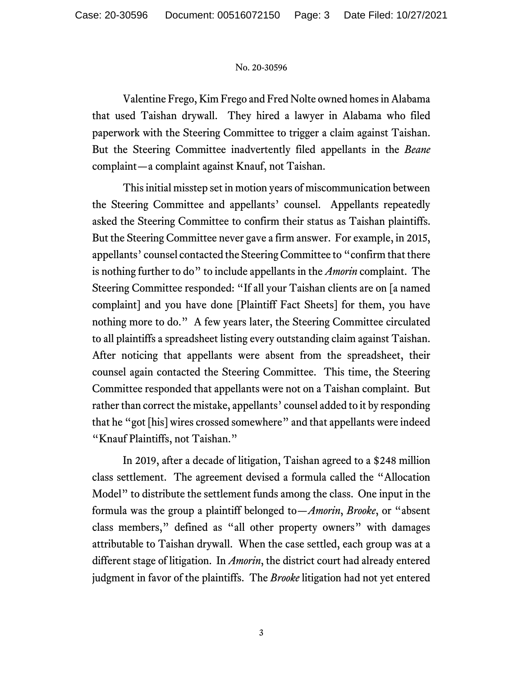Valentine Frego, Kim Frego and Fred Nolte owned homes in Alabama that used Taishan drywall. They hired a lawyer in Alabama who filed paperwork with the Steering Committee to trigger a claim against Taishan. But the Steering Committee inadvertently filed appellants in the *Beane*  complaint—a complaint against Knauf, not Taishan.

This initial misstep set in motion years of miscommunication between the Steering Committee and appellants' counsel. Appellants repeatedly asked the Steering Committee to confirm their status as Taishan plaintiffs. But the Steering Committee never gave a firm answer. For example, in 2015, appellants' counsel contacted the Steering Committee to "confirm that there is nothing further to do" to include appellants in the *Amorin* complaint. The Steering Committee responded: "If all your Taishan clients are on [a named complaint] and you have done [Plaintiff Fact Sheets] for them, you have nothing more to do." A few years later, the Steering Committee circulated to all plaintiffs a spreadsheet listing every outstanding claim against Taishan. After noticing that appellants were absent from the spreadsheet, their counsel again contacted the Steering Committee. This time, the Steering Committee responded that appellants were not on a Taishan complaint. But rather than correct the mistake, appellants' counsel added to it by responding that he "got [his] wires crossed somewhere" and that appellants were indeed "Knauf Plaintiffs, not Taishan."

In 2019, after a decade of litigation, Taishan agreed to a \$248 million class settlement. The agreement devised a formula called the "Allocation Model" to distribute the settlement funds among the class. One input in the formula was the group a plaintiff belonged to—*Amorin*, *Brooke*, or "absent class members," defined as "all other property owners" with damages attributable to Taishan drywall. When the case settled, each group was at a different stage of litigation. In *Amorin*, the district court had already entered judgment in favor of the plaintiffs. The *Brooke* litigation had not yet entered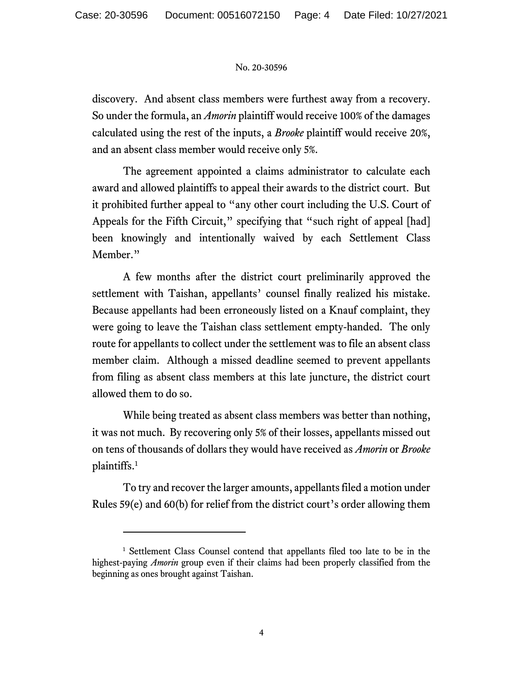discovery. And absent class members were furthest away from a recovery. So under the formula, an *Amorin* plaintiff would receive 100% of the damages calculated using the rest of the inputs, a *Brooke* plaintiff would receive 20%, and an absent class member would receive only 5%.

The agreement appointed a claims administrator to calculate each award and allowed plaintiffs to appeal their awards to the district court. But it prohibited further appeal to "any other court including the U.S. Court of Appeals for the Fifth Circuit," specifying that "such right of appeal [had] been knowingly and intentionally waived by each Settlement Class Member."

A few months after the district court preliminarily approved the settlement with Taishan, appellants' counsel finally realized his mistake. Because appellants had been erroneously listed on a Knauf complaint, they were going to leave the Taishan class settlement empty-handed. The only route for appellants to collect under the settlement was to file an absent class member claim. Although a missed deadline seemed to prevent appellants from filing as absent class members at this late juncture, the district court allowed them to do so.

While being treated as absent class members was better than nothing, it was not much. By recovering only 5% of their losses, appellants missed out on tens of thousands of dollars they would have received as *Amorin* or *Brooke*  plaintiffs. [1](#page-3-0)

To try and recover the larger amounts, appellantsfiled a motion under Rules 59(e) and 60(b) for relief from the district court's order allowing them

<span id="page-3-0"></span><sup>&</sup>lt;sup>1</sup> Settlement Class Counsel contend that appellants filed too late to be in the highest-paying *Amorin* group even if their claims had been properly classified from the beginning as ones brought against Taishan.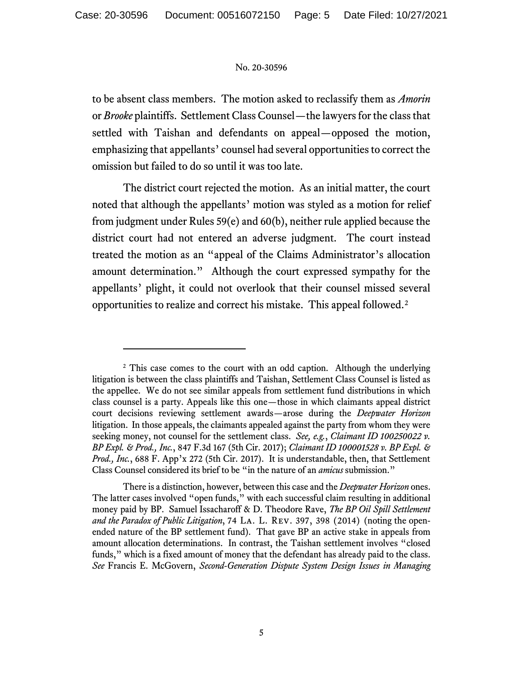to be absent class members. The motion asked to reclassify them as *Amorin*  or *Brooke* plaintiffs. Settlement Class Counsel—the lawyers for the class that settled with Taishan and defendants on appeal—opposed the motion, emphasizing that appellants' counsel had several opportunities to correct the omission but failed to do so until it was too late.

The district court rejected the motion. As an initial matter, the court noted that although the appellants' motion was styled as a motion for relief from judgment under Rules 59(e) and 60(b), neither rule applied because the district court had not entered an adverse judgment. The court instead treated the motion as an "appeal of the Claims Administrator's allocation amount determination." Although the court expressed sympathy for the appellants' plight, it could not overlook that their counsel missed several opportunities to realize and correct his mistake. This appeal followed. [2](#page-4-0)

<span id="page-4-0"></span><sup>&</sup>lt;sup>2</sup> This case comes to the court with an odd caption. Although the underlying litigation is between the class plaintiffs and Taishan, Settlement Class Counsel is listed as the appellee. We do not see similar appeals from settlement fund distributions in which class counsel is a party. Appeals like this one—those in which claimants appeal district court decisions reviewing settlement awards—arose during the *Deepwater Horizon* litigation. In those appeals, the claimants appealed against the party from whom they were seeking money, not counsel for the settlement class. *See, e.g.*, *Claimant ID 100250022 v. BP Expl. & Prod., Inc.*, 847 F.3d 167 (5th Cir. 2017); *Claimant ID 100001528 v. BP Expl. & Prod., Inc.*, 688 F. App'x 272 (5th Cir. 2017). It is understandable, then, that Settlement Class Counsel considered its brief to be "in the nature of an *amicus* submission."

There is a distinction, however, between this case and the *Deepwater Horizon* ones. The latter cases involved "open funds," with each successful claim resulting in additional money paid by BP. Samuel Issacharoff & D. Theodore Rave, *The BP Oil Spill Settlement and the Paradox of Public Litigation*, 74 La. L. Rev. 397, 398 (2014) (noting the openended nature of the BP settlement fund).That gave BP an active stake in appeals from amount allocation determinations. In contrast, the Taishan settlement involves "closed funds," which is a fixed amount of money that the defendant has already paid to the class. *See* Francis E. McGovern, *Second-Generation Dispute System Design Issues in Managing*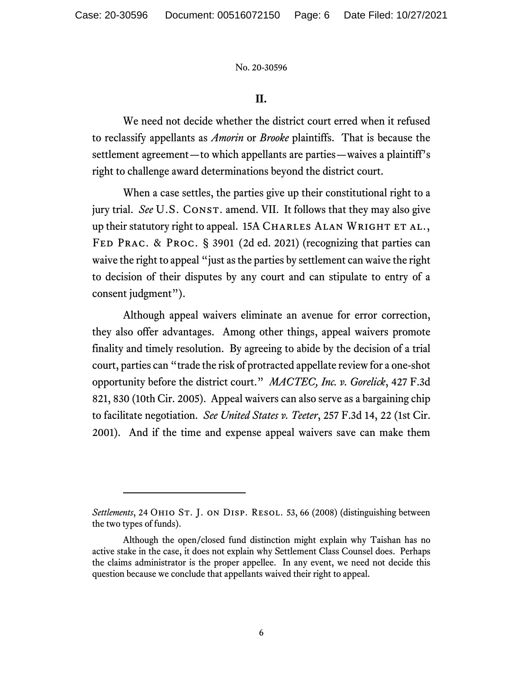# **II.**

We need not decide whether the district court erred when it refused to reclassify appellants as *Amorin* or *Brooke* plaintiffs. That is because the settlement agreement—to which appellants are parties—waives a plaintiff's right to challenge award determinations beyond the district court.

When a case settles, the parties give up their constitutional right to a jury trial. *See* U.S. CONST. amend. VII. It follows that they may also give up their statutory right to appeal. 15A CHARLES ALAN WRIGHT ET AL., Fed Prac. & Proc. § 3901 (2d ed. 2021) (recognizing that parties can waive the right to appeal "just as the parties by settlement can waive the right to decision of their disputes by any court and can stipulate to entry of a consent judgment").

Although appeal waivers eliminate an avenue for error correction, they also offer advantages. Among other things, appeal waivers promote finality and timely resolution. By agreeing to abide by the decision of a trial court, parties can "trade the risk of protracted appellate review for a one-shot opportunity before the district court." *MACTEC, Inc. v. Gorelick*, 427 F.3d 821, 830 (10th Cir. 2005). Appeal waivers can also serve as a bargaining chip to facilitate negotiation. *See United States v. Teeter*, 257 F.3d 14, 22 (1st Cir. 2001). And if the time and expense appeal waivers save can make them

Settlements, 24 OHIO ST. J. ON DISP. RESOL. 53, 66 (2008) (distinguishing between the two types of funds).

Although the open/closed fund distinction might explain why Taishan has no active stake in the case, it does not explain why Settlement Class Counsel does. Perhaps the claims administrator is the proper appellee. In any event, we need not decide this question because we conclude that appellants waived their right to appeal.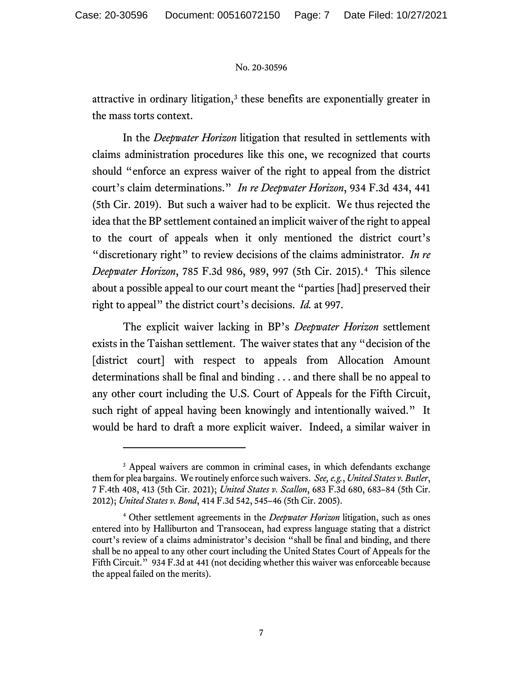attractive in ordinary litigation,<sup>[3](#page-6-0)</sup> these benefits are exponentially greater in the mass torts context.

In the *Deepwater Horizon* litigation that resulted in settlements with claims administration procedures like this one, we recognized that courts should "enforce an express waiver of the right to appeal from the district court's claim determinations." *In re Deepwater Horizon*, 934 F.3d 434, 441 (5th Cir. 2019). But such a waiver had to be explicit. We thus rejected the idea that the BP settlement contained an implicit waiver of the right to appeal to the court of appeals when it only mentioned the district court's "discretionary right" to review decisions of the claims administrator. *In re Deepwater Horizon*, 785 F.3d 986, 989, 997 (5th Cir. 2015).[4](#page-6-1)This silence about a possible appeal to our court meant the "parties [had] preserved their right to appeal" the district court's decisions. *Id.* at 997.

The explicit waiver lacking in BP's *Deepwater Horizon* settlement exists in the Taishan settlement. The waiver states that any "decision of the [district court] with respect to appeals from Allocation Amount determinations shall be final and binding . . . and there shall be no appeal to any other court including the U.S. Court of Appeals for the Fifth Circuit, such right of appeal having been knowingly and intentionally waived." It would be hard to draft a more explicit waiver. Indeed, a similar waiver in

<span id="page-6-0"></span><sup>&</sup>lt;sup>3</sup> Appeal waivers are common in criminal cases, in which defendants exchange them for plea bargains. We routinely enforce such waivers. *See, e.g.*, *United States v. Butler*, 7 F.4th 408, 413 (5th Cir. 2021); *United States v. Scallon*, 683 F.3d 680, 683–84 (5th Cir. 2012); *United States v. Bond*, 414 F.3d 542, 545–46 (5th Cir. 2005).

<span id="page-6-1"></span><sup>4</sup> Other settlement agreements in the *Deepwater Horizon* litigation, such as ones entered into by Halliburton and Transocean, had express language stating that a district court's review of a claims administrator's decision "shall be final and binding, and there shall be no appeal to any other court including the United States Court of Appeals for the Fifth Circuit." 934 F.3d at 441 (not deciding whether this waiver was enforceable because the appeal failed on the merits).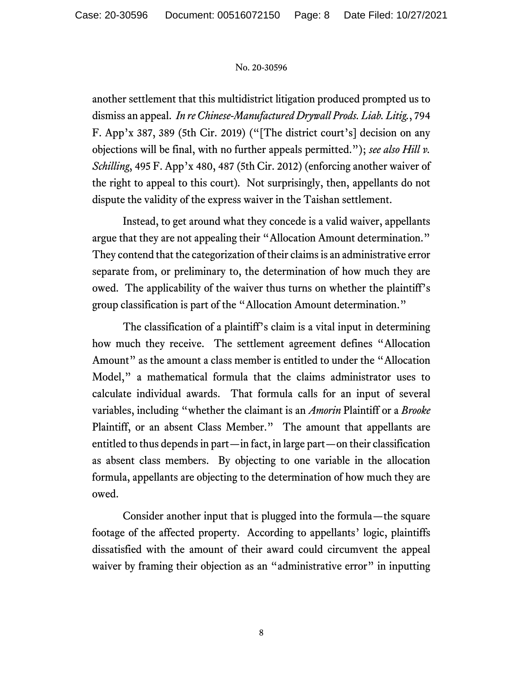another settlement that this multidistrict litigation produced prompted us to dismiss an appeal. *In re Chinese-Manufactured Drywall Prods. Liab. Litig.*, 794 F. App'x 387, 389 (5th Cir. 2019) ("[The district court's] decision on any objections will be final, with no further appeals permitted."); *see also Hill v. Schilling*, 495 F. App'x 480, 487 (5th Cir. 2012) (enforcing another waiver of the right to appeal to this court)*.* Not surprisingly, then, appellants do not dispute the validity of the express waiver in the Taishan settlement.

Instead, to get around what they concede is a valid waiver, appellants argue that they are not appealing their "Allocation Amount determination." They contend that the categorization of their claims is an administrative error separate from, or preliminary to, the determination of how much they are owed. The applicability of the waiver thus turns on whether the plaintiff's group classification is part of the "Allocation Amount determination."

The classification of a plaintiff's claim is a vital input in determining how much they receive. The settlement agreement defines "Allocation Amount" as the amount a class member is entitled to under the "Allocation Model," a mathematical formula that the claims administrator uses to calculate individual awards. That formula calls for an input of several variables, including "whether the claimant is an *Amorin* Plaintiff or a *Brooke*  Plaintiff, or an absent Class Member." The amount that appellants are entitled to thus depends in part—in fact, in large part—on their classification as absent class members. By objecting to one variable in the allocation formula, appellants are objecting to the determination of how much they are owed.

Consider another input that is plugged into the formula—the square footage of the affected property. According to appellants' logic, plaintiffs dissatisfied with the amount of their award could circumvent the appeal waiver by framing their objection as an "administrative error" in inputting